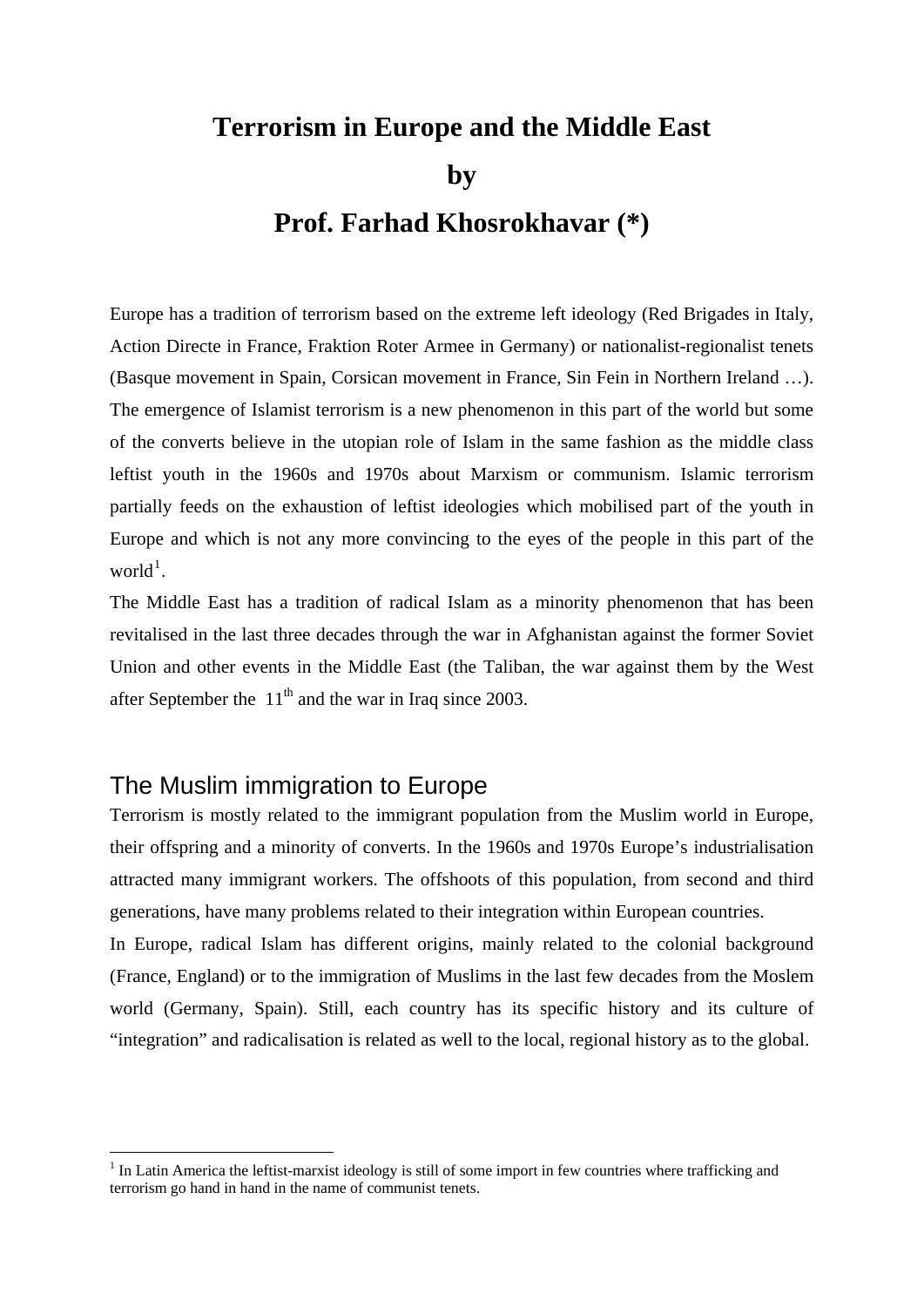# **Terrorism in Europe and the Middle East by Prof. Farhad Khosrokhavar (\*)**

Europe has a tradition of terrorism based on the extreme left ideology (Red Brigades in Italy, Action Directe in France, Fraktion Roter Armee in Germany) or nationalist-regionalist tenets (Basque movement in Spain, Corsican movement in France, Sin Fein in Northern Ireland …). The emergence of Islamist terrorism is a new phenomenon in this part of the world but some of the converts believe in the utopian role of Islam in the same fashion as the middle class leftist youth in the 1960s and 1970s about Marxism or communism. Islamic terrorism partially feeds on the exhaustion of leftist ideologies which mobilised part of the youth in Europe and which is not any more convincing to the eyes of the people in this part of the  $world<sup>1</sup>$  $world<sup>1</sup>$  $world<sup>1</sup>$ .

The Middle East has a tradition of radical Islam as a minority phenomenon that has been revitalised in the last three decades through the war in Afghanistan against the former Soviet Union and other events in the Middle East (the Taliban, the war against them by the West after September the  $11<sup>th</sup>$  and the war in Iraq since 2003.

## The Muslim immigration to Europe

1

Terrorism is mostly related to the immigrant population from the Muslim world in Europe, their offspring and a minority of converts. In the 1960s and 1970s Europe's industrialisation attracted many immigrant workers. The offshoots of this population, from second and third generations, have many problems related to their integration within European countries.

In Europe, radical Islam has different origins, mainly related to the colonial background (France, England) or to the immigration of Muslims in the last few decades from the Moslem world (Germany, Spain). Still, each country has its specific history and its culture of "integration" and radicalisation is related as well to the local, regional history as to the global.

<span id="page-0-0"></span><sup>&</sup>lt;sup>1</sup> In Latin America the leftist-marxist ideology is still of some import in few countries where trafficking and terrorism go hand in hand in the name of communist tenets.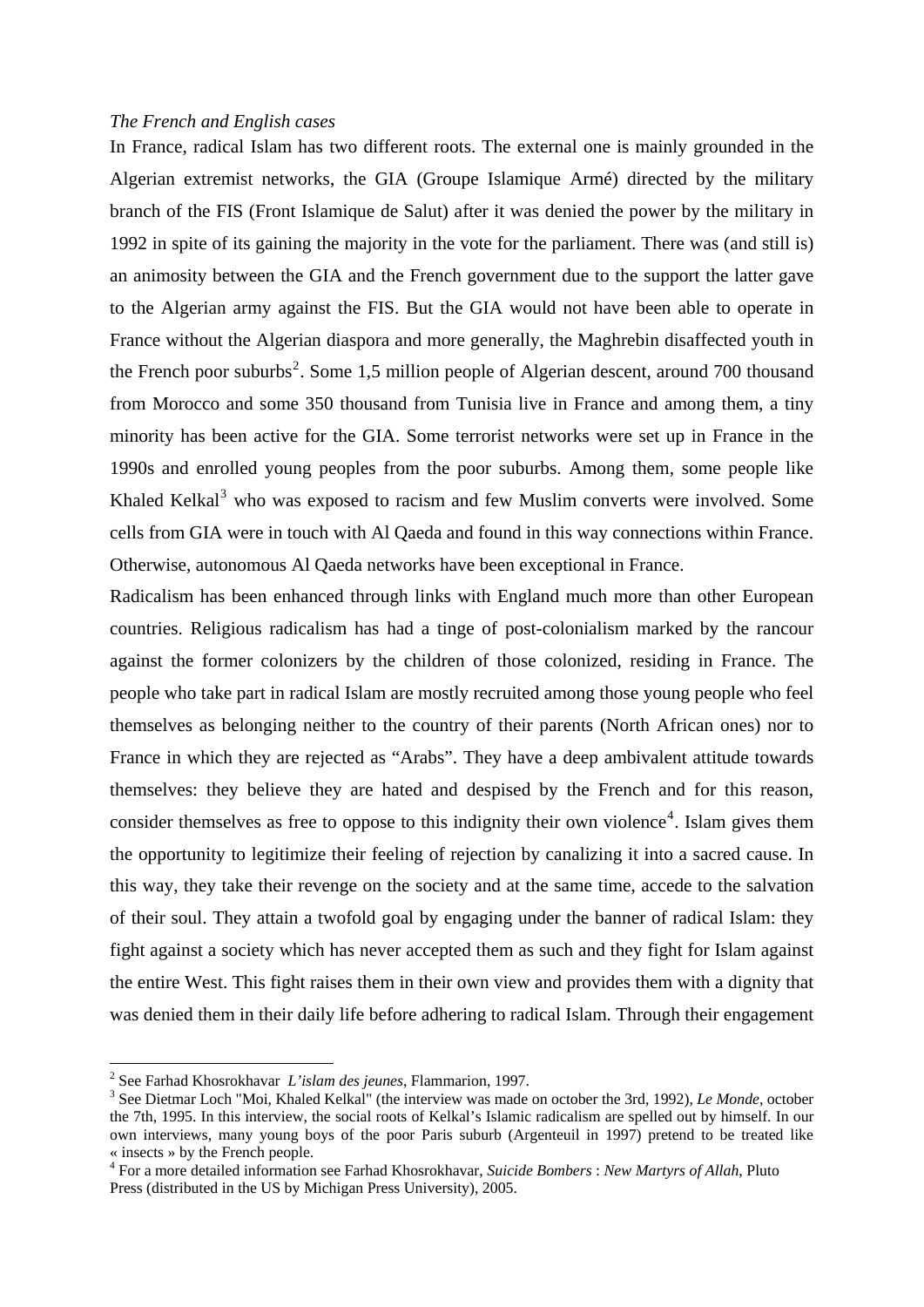#### *The French and English cases*

In France, radical Islam has two different roots. The external one is mainly grounded in the Algerian extremist networks, the GIA (Groupe Islamique Armé) directed by the military branch of the FIS (Front Islamique de Salut) after it was denied the power by the military in 1992 in spite of its gaining the majority in the vote for the parliament. There was (and still is) an animosity between the GIA and the French government due to the support the latter gave to the Algerian army against the FIS. But the GIA would not have been able to operate in France without the Algerian diaspora and more generally, the Maghrebin disaffected youth in the French poor suburbs<sup>[2](#page-1-0)</sup>. Some 1,5 million people of Algerian descent, around 700 thousand from Morocco and some 350 thousand from Tunisia live in France and among them, a tiny minority has been active for the GIA. Some terrorist networks were set up in France in the 1990s and enrolled young peoples from the poor suburbs. Among them, some people like Khaled Kelkal $3$  who was exposed to racism and few Muslim converts were involved. Some cells from GIA were in touch with Al Qaeda and found in this way connections within France. Otherwise, autonomous Al Qaeda networks have been exceptional in France.

Radicalism has been enhanced through links with England much more than other European countries. Religious radicalism has had a tinge of post-colonialism marked by the rancour against the former colonizers by the children of those colonized, residing in France. The people who take part in radical Islam are mostly recruited among those young people who feel themselves as belonging neither to the country of their parents (North African ones) nor to France in which they are rejected as "Arabs". They have a deep ambivalent attitude towards themselves: they believe they are hated and despised by the French and for this reason, consider themselves as free to oppose to this indignity their own violence<sup>[4](#page-1-2)</sup>. Islam gives them the opportunity to legitimize their feeling of rejection by canalizing it into a sacred cause. In this way, they take their revenge on the society and at the same time, accede to the salvation of their soul. They attain a twofold goal by engaging under the banner of radical Islam: they fight against a society which has never accepted them as such and they fight for Islam against the entire West. This fight raises them in their own view and provides them with a dignity that was denied them in their daily life before adhering to radical Islam. Through their engagement

<span id="page-1-0"></span><sup>&</sup>lt;sup>2</sup> See Farhad Khosrokhavar *L'islam des jeunes*, Flammarion, 1997.<br><sup>3</sup> See Dietmer Leeb "Mei, Kholed Kelkel" (the interview wes mede

<span id="page-1-1"></span><sup>&</sup>lt;sup>3</sup> See Dietmar Loch "Moi, Khaled Kelkal" (the interview was made on october the 3rd, 1992), *Le Monde*, october the 7th, 1995. In this interview, the social roots of Kelkal's Islamic radicalism are spelled out by himself. In our own interviews, many young boys of the poor Paris suburb (Argenteuil in 1997) pretend to be treated like « insects » by the French people.

<span id="page-1-2"></span><sup>4</sup> For a more detailed information see Farhad Khosrokhavar, *Suicide Bombers* : *New Martyrs of Allah*, Pluto Press (distributed in the US by Michigan Press University), 2005.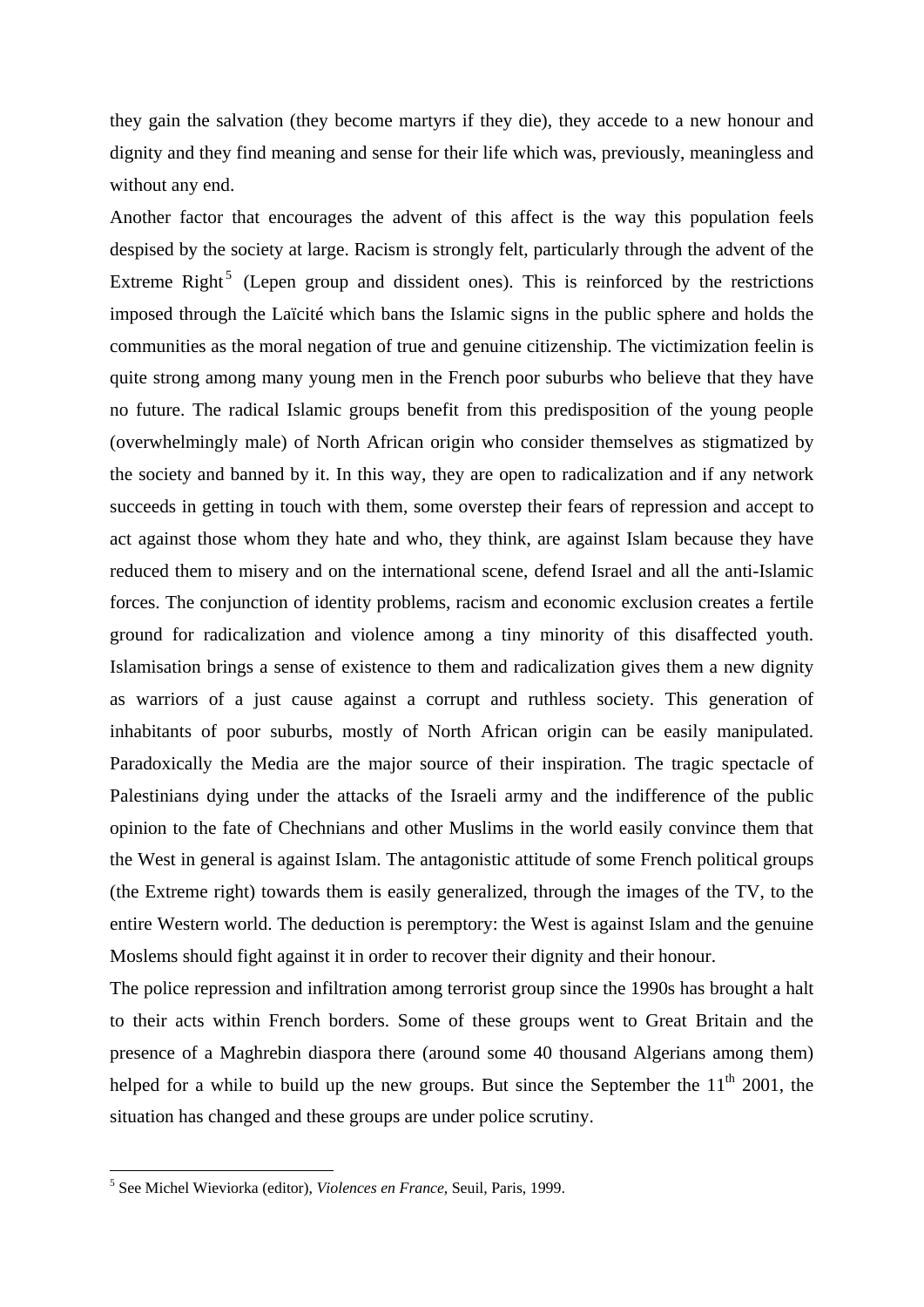they gain the salvation (they become martyrs if they die), they accede to a new honour and dignity and they find meaning and sense for their life which was, previously, meaningless and without any end.

Another factor that encourages the advent of this affect is the way this population feels despised by the society at large. Racism is strongly felt, particularly through the advent of the Extreme Right<sup>[5](#page-2-0)</sup> (Lepen group and dissident ones). This is reinforced by the restrictions imposed through the Laïcité which bans the Islamic signs in the public sphere and holds the communities as the moral negation of true and genuine citizenship. The victimization feelin is quite strong among many young men in the French poor suburbs who believe that they have no future. The radical Islamic groups benefit from this predisposition of the young people (overwhelmingly male) of North African origin who consider themselves as stigmatized by the society and banned by it. In this way, they are open to radicalization and if any network succeeds in getting in touch with them, some overstep their fears of repression and accept to act against those whom they hate and who, they think, are against Islam because they have reduced them to misery and on the international scene, defend Israel and all the anti-Islamic forces. The conjunction of identity problems, racism and economic exclusion creates a fertile ground for radicalization and violence among a tiny minority of this disaffected youth. Islamisation brings a sense of existence to them and radicalization gives them a new dignity as warriors of a just cause against a corrupt and ruthless society. This generation of inhabitants of poor suburbs, mostly of North African origin can be easily manipulated. Paradoxically the Media are the major source of their inspiration. The tragic spectacle of Palestinians dying under the attacks of the Israeli army and the indifference of the public opinion to the fate of Chechnians and other Muslims in the world easily convince them that the West in general is against Islam. The antagonistic attitude of some French political groups (the Extreme right) towards them is easily generalized, through the images of the TV, to the entire Western world. The deduction is peremptory: the West is against Islam and the genuine Moslems should fight against it in order to recover their dignity and their honour.

The police repression and infiltration among terrorist group since the 1990s has brought a halt to their acts within French borders. Some of these groups went to Great Britain and the presence of a Maghrebin diaspora there (around some 40 thousand Algerians among them) helped for a while to build up the new groups. But since the September the  $11<sup>th</sup>$  2001, the situation has changed and these groups are under police scrutiny.

<span id="page-2-0"></span> 5 See Michel Wieviorka (editor), *Violences en France*, Seuil, Paris, 1999.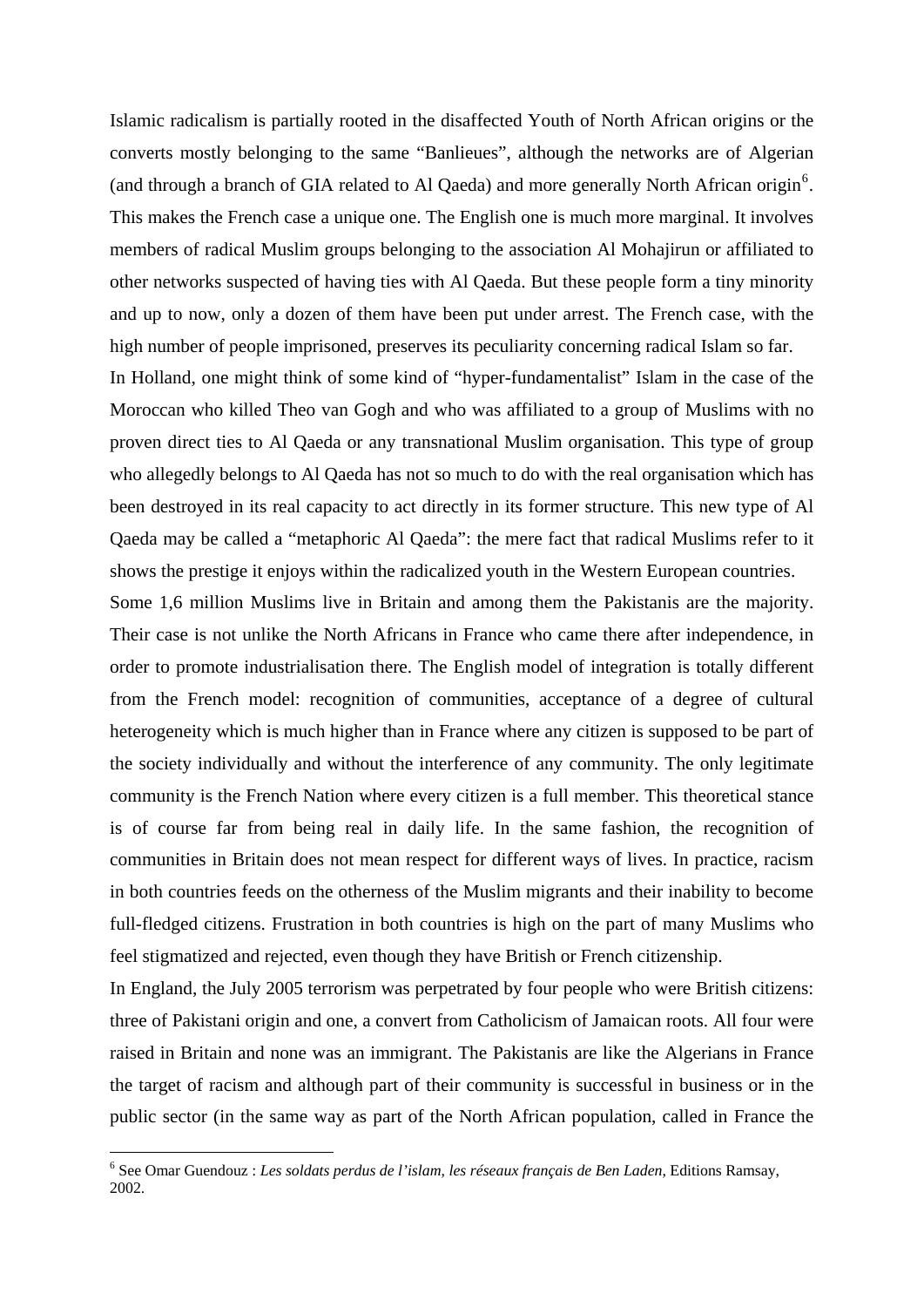Islamic radicalism is partially rooted in the disaffected Youth of North African origins or the converts mostly belonging to the same "Banlieues", although the networks are of Algerian (and through a branch of GIA related to Al Qaeda) and more generally North African origin<sup>[6](#page-3-0)</sup>. This makes the French case a unique one. The English one is much more marginal. It involves members of radical Muslim groups belonging to the association Al Mohajirun or affiliated to other networks suspected of having ties with Al Qaeda. But these people form a tiny minority and up to now, only a dozen of them have been put under arrest. The French case, with the high number of people imprisoned, preserves its peculiarity concerning radical Islam so far.

In Holland, one might think of some kind of "hyper-fundamentalist" Islam in the case of the Moroccan who killed Theo van Gogh and who was affiliated to a group of Muslims with no proven direct ties to Al Qaeda or any transnational Muslim organisation. This type of group who allegedly belongs to Al Qaeda has not so much to do with the real organisation which has been destroyed in its real capacity to act directly in its former structure. This new type of Al Qaeda may be called a "metaphoric Al Qaeda": the mere fact that radical Muslims refer to it shows the prestige it enjoys within the radicalized youth in the Western European countries.

Some 1,6 million Muslims live in Britain and among them the Pakistanis are the majority. Their case is not unlike the North Africans in France who came there after independence, in order to promote industrialisation there. The English model of integration is totally different from the French model: recognition of communities, acceptance of a degree of cultural heterogeneity which is much higher than in France where any citizen is supposed to be part of the society individually and without the interference of any community. The only legitimate community is the French Nation where every citizen is a full member. This theoretical stance is of course far from being real in daily life. In the same fashion, the recognition of communities in Britain does not mean respect for different ways of lives. In practice, racism in both countries feeds on the otherness of the Muslim migrants and their inability to become full-fledged citizens. Frustration in both countries is high on the part of many Muslims who feel stigmatized and rejected, even though they have British or French citizenship.

In England, the July 2005 terrorism was perpetrated by four people who were British citizens: three of Pakistani origin and one, a convert from Catholicism of Jamaican roots. All four were raised in Britain and none was an immigrant. The Pakistanis are like the Algerians in France the target of racism and although part of their community is successful in business or in the public sector (in the same way as part of the North African population, called in France the

<span id="page-3-0"></span><sup>6</sup> See Omar Guendouz : *Les soldats perdus de l'islam, les réseaux français de Ben Laden*, Editions Ramsay, 2002.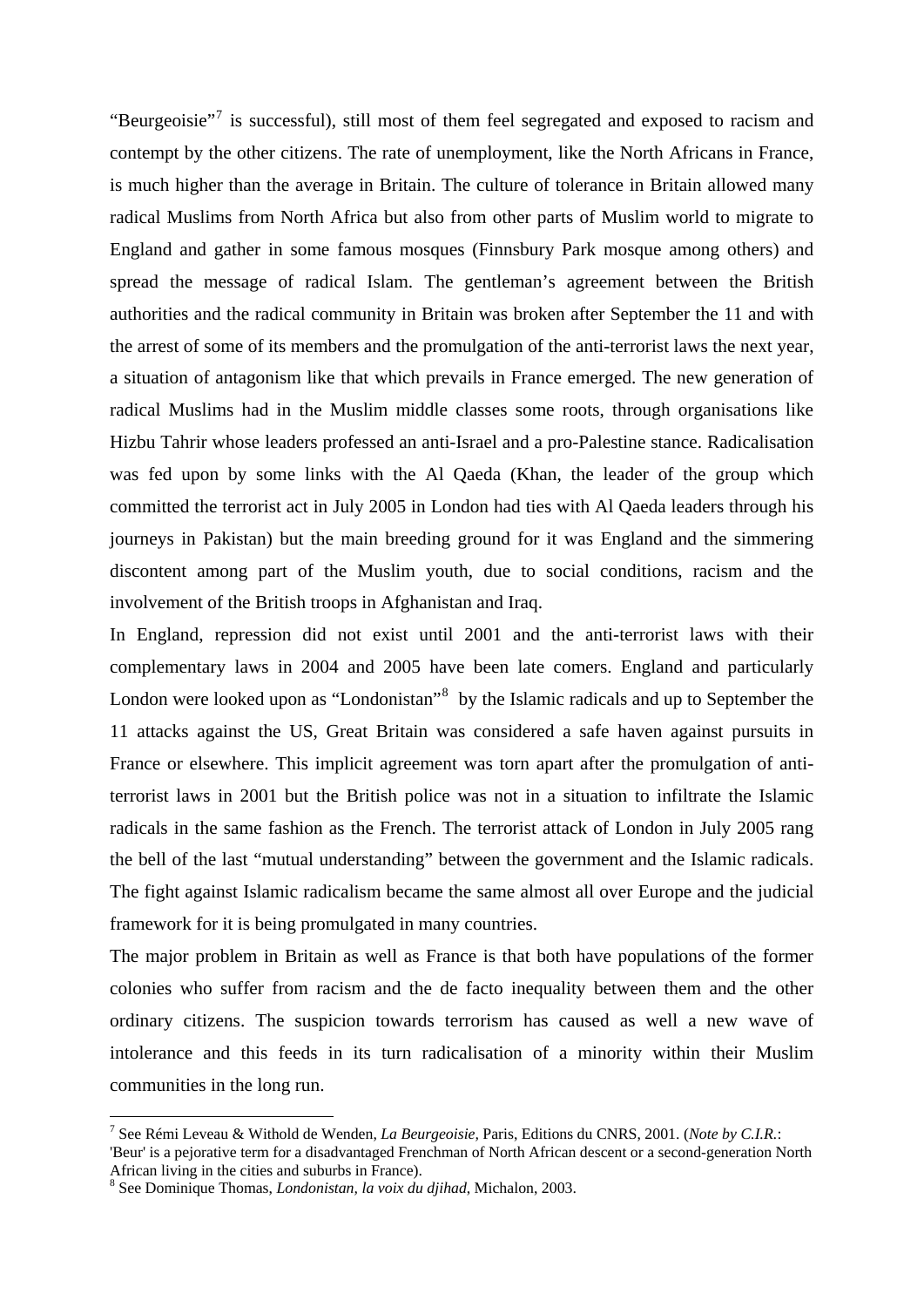"Beurgeoisie"<sup>[7](#page-4-0)</sup> is successful), still most of them feel segregated and exposed to racism and contempt by the other citizens. The rate of unemployment, like the North Africans in France, is much higher than the average in Britain. The culture of tolerance in Britain allowed many radical Muslims from North Africa but also from other parts of Muslim world to migrate to England and gather in some famous mosques (Finnsbury Park mosque among others) and spread the message of radical Islam. The gentleman's agreement between the British authorities and the radical community in Britain was broken after September the 11 and with the arrest of some of its members and the promulgation of the anti-terrorist laws the next year, a situation of antagonism like that which prevails in France emerged. The new generation of radical Muslims had in the Muslim middle classes some roots, through organisations like Hizbu Tahrir whose leaders professed an anti-Israel and a pro-Palestine stance. Radicalisation was fed upon by some links with the Al Qaeda (Khan, the leader of the group which committed the terrorist act in July 2005 in London had ties with Al Qaeda leaders through his journeys in Pakistan) but the main breeding ground for it was England and the simmering discontent among part of the Muslim youth, due to social conditions, racism and the involvement of the British troops in Afghanistan and Iraq.

In England, repression did not exist until 2001 and the anti-terrorist laws with their complementary laws in 2004 and 2005 have been late comers. England and particularly London were looked upon as "Londonistan"<sup>[8](#page-4-1)</sup> by the Islamic radicals and up to September the 11 attacks against the US, Great Britain was considered a safe haven against pursuits in France or elsewhere. This implicit agreement was torn apart after the promulgation of antiterrorist laws in 2001 but the British police was not in a situation to infiltrate the Islamic radicals in the same fashion as the French. The terrorist attack of London in July 2005 rang the bell of the last "mutual understanding" between the government and the Islamic radicals. The fight against Islamic radicalism became the same almost all over Europe and the judicial framework for it is being promulgated in many countries.

The major problem in Britain as well as France is that both have populations of the former colonies who suffer from racism and the de facto inequality between them and the other ordinary citizens. The suspicion towards terrorism has caused as well a new wave of intolerance and this feeds in its turn radicalisation of a minority within their Muslim communities in the long run.

<span id="page-4-0"></span><sup>7</sup> See Rémi Leveau & Withold de Wenden, *La Beurgeoisie,* Paris, Editions du CNRS, 2001. (*Note by C.I.R.*:

<sup>&#</sup>x27;Beur' is a pejorative term for a disadvantaged Frenchman of North African descent or a second-generation North African living in the cities and suburbs in France).

<span id="page-4-1"></span><sup>8</sup> See Dominique Thomas, *Londonistan, la voix du djihad*, Michalon, 2003.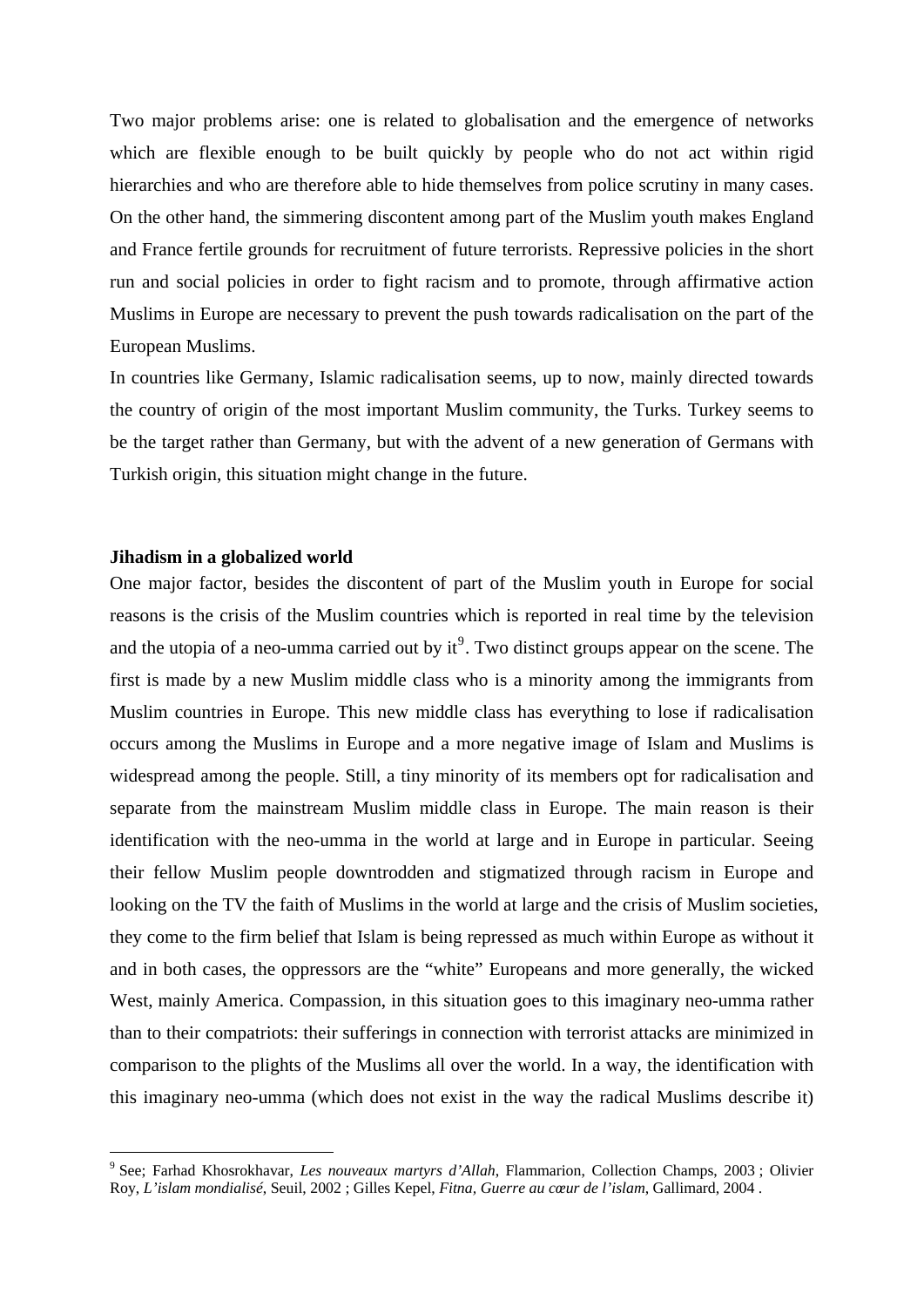Two major problems arise: one is related to globalisation and the emergence of networks which are flexible enough to be built quickly by people who do not act within rigid hierarchies and who are therefore able to hide themselves from police scrutiny in many cases. On the other hand, the simmering discontent among part of the Muslim youth makes England and France fertile grounds for recruitment of future terrorists. Repressive policies in the short run and social policies in order to fight racism and to promote, through affirmative action Muslims in Europe are necessary to prevent the push towards radicalisation on the part of the European Muslims.

In countries like Germany, Islamic radicalisation seems, up to now, mainly directed towards the country of origin of the most important Muslim community, the Turks. Turkey seems to be the target rather than Germany, but with the advent of a new generation of Germans with Turkish origin, this situation might change in the future.

#### **Jihadism in a globalized world**

1

One major factor, besides the discontent of part of the Muslim youth in Europe for social reasons is the crisis of the Muslim countries which is reported in real time by the television and the utopia of a neo-umma carried out by  $it^9$  $it^9$ . Two distinct groups appear on the scene. The first is made by a new Muslim middle class who is a minority among the immigrants from Muslim countries in Europe. This new middle class has everything to lose if radicalisation occurs among the Muslims in Europe and a more negative image of Islam and Muslims is widespread among the people. Still, a tiny minority of its members opt for radicalisation and separate from the mainstream Muslim middle class in Europe. The main reason is their identification with the neo-umma in the world at large and in Europe in particular. Seeing their fellow Muslim people downtrodden and stigmatized through racism in Europe and looking on the TV the faith of Muslims in the world at large and the crisis of Muslim societies, they come to the firm belief that Islam is being repressed as much within Europe as without it and in both cases, the oppressors are the "white" Europeans and more generally, the wicked West, mainly America. Compassion, in this situation goes to this imaginary neo-umma rather than to their compatriots: their sufferings in connection with terrorist attacks are minimized in comparison to the plights of the Muslims all over the world. In a way, the identification with this imaginary neo-umma (which does not exist in the way the radical Muslims describe it)

<span id="page-5-0"></span><sup>9</sup> See; Farhad Khosrokhavar, *Les nouveaux martyrs d'Allah*, Flammarion, Collection Champs, 2003 ; Olivier Roy, *L'islam mondialisé*, Seuil, 2002 ; Gilles Kepel, *Fitna, Guerre au cœur de l'islam*, Gallimard, 2004 .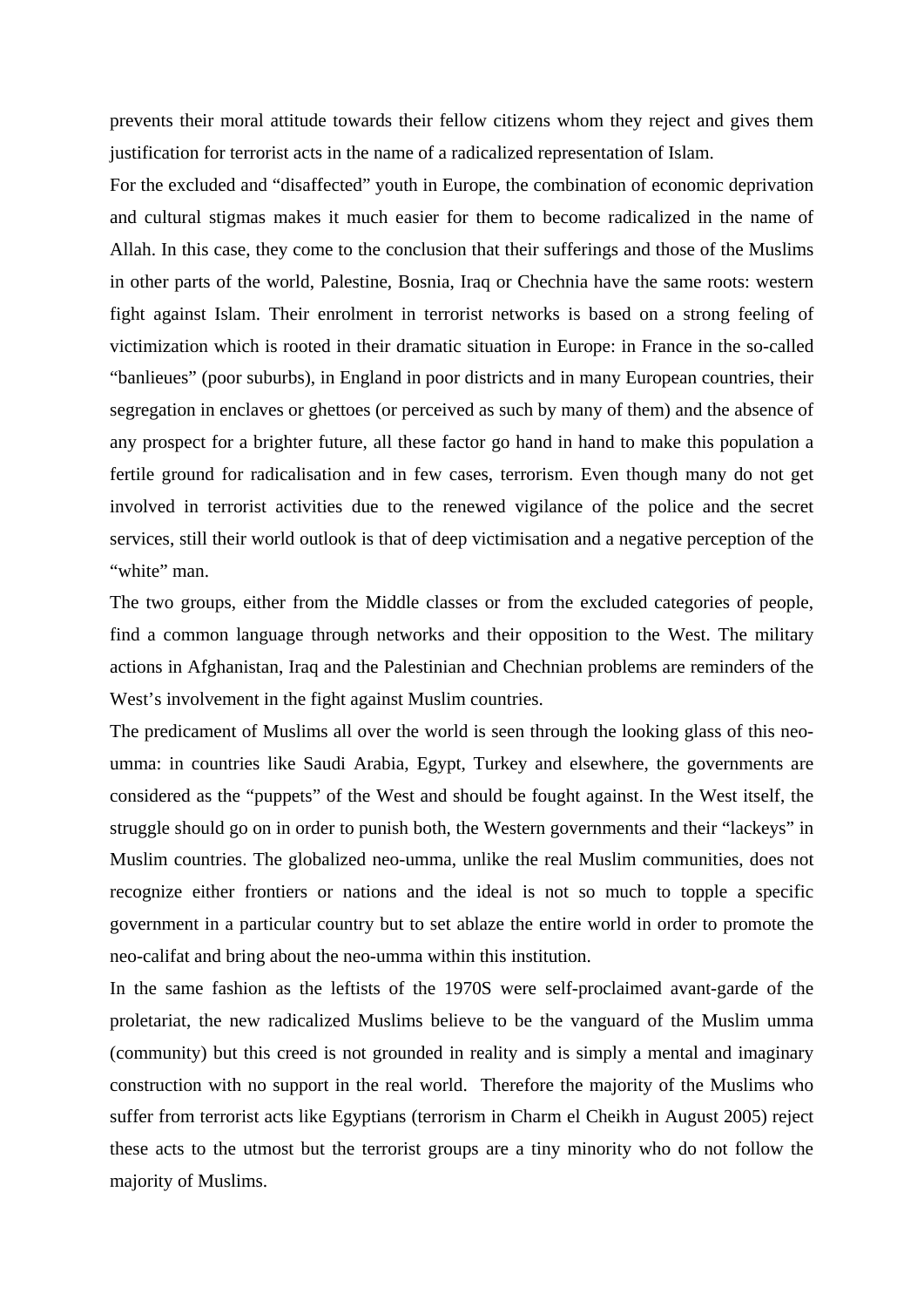prevents their moral attitude towards their fellow citizens whom they reject and gives them justification for terrorist acts in the name of a radicalized representation of Islam.

For the excluded and "disaffected" youth in Europe, the combination of economic deprivation and cultural stigmas makes it much easier for them to become radicalized in the name of Allah. In this case, they come to the conclusion that their sufferings and those of the Muslims in other parts of the world, Palestine, Bosnia, Iraq or Chechnia have the same roots: western fight against Islam. Their enrolment in terrorist networks is based on a strong feeling of victimization which is rooted in their dramatic situation in Europe: in France in the so-called "banlieues" (poor suburbs), in England in poor districts and in many European countries, their segregation in enclaves or ghettoes (or perceived as such by many of them) and the absence of any prospect for a brighter future, all these factor go hand in hand to make this population a fertile ground for radicalisation and in few cases, terrorism. Even though many do not get involved in terrorist activities due to the renewed vigilance of the police and the secret services, still their world outlook is that of deep victimisation and a negative perception of the "white" man.

The two groups, either from the Middle classes or from the excluded categories of people, find a common language through networks and their opposition to the West. The military actions in Afghanistan, Iraq and the Palestinian and Chechnian problems are reminders of the West's involvement in the fight against Muslim countries.

The predicament of Muslims all over the world is seen through the looking glass of this neoumma: in countries like Saudi Arabia, Egypt, Turkey and elsewhere, the governments are considered as the "puppets" of the West and should be fought against. In the West itself, the struggle should go on in order to punish both, the Western governments and their "lackeys" in Muslim countries. The globalized neo-umma, unlike the real Muslim communities, does not recognize either frontiers or nations and the ideal is not so much to topple a specific government in a particular country but to set ablaze the entire world in order to promote the neo-califat and bring about the neo-umma within this institution.

In the same fashion as the leftists of the 1970S were self-proclaimed avant-garde of the proletariat, the new radicalized Muslims believe to be the vanguard of the Muslim umma (community) but this creed is not grounded in reality and is simply a mental and imaginary construction with no support in the real world. Therefore the majority of the Muslims who suffer from terrorist acts like Egyptians (terrorism in Charm el Cheikh in August 2005) reject these acts to the utmost but the terrorist groups are a tiny minority who do not follow the majority of Muslims.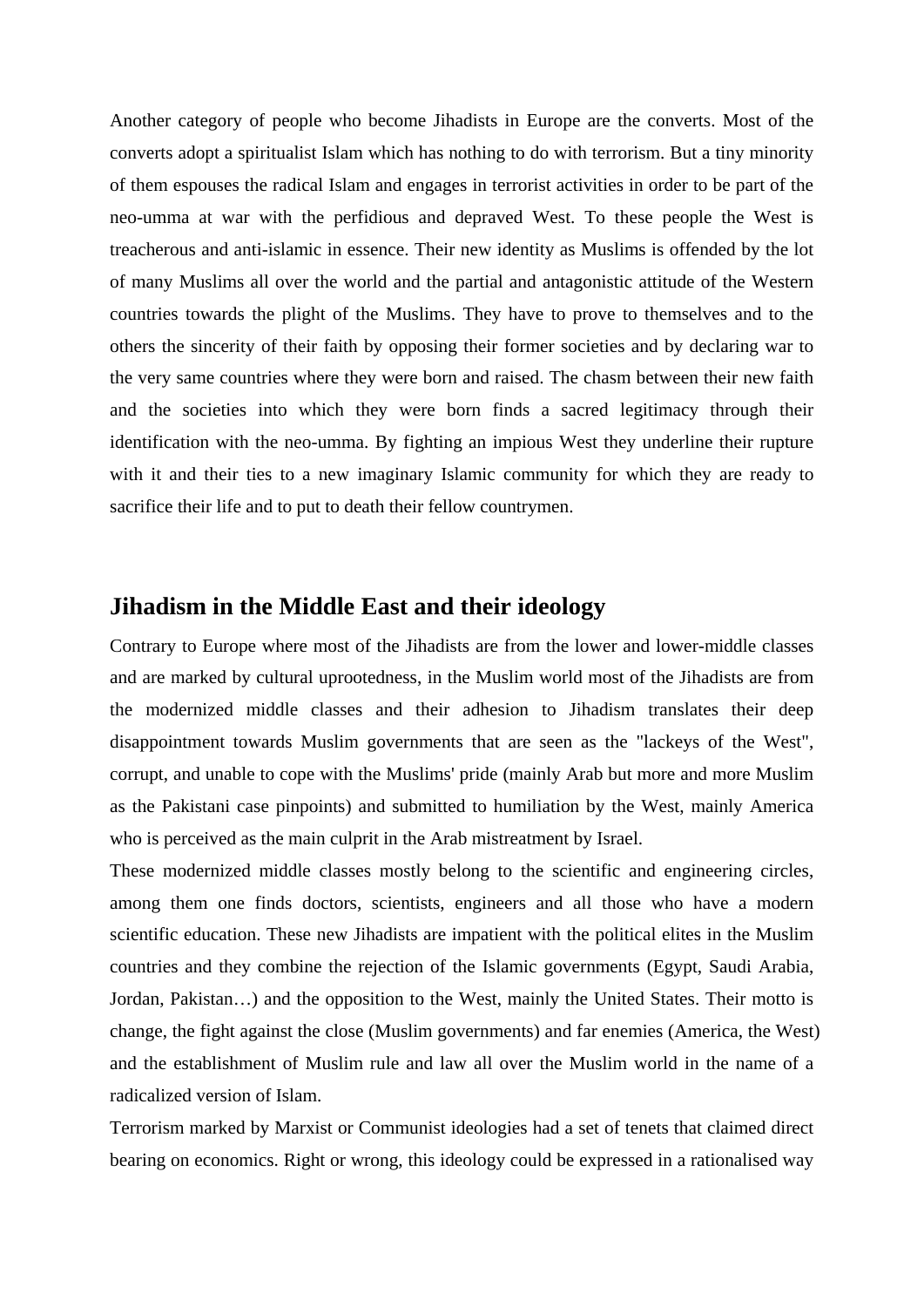Another category of people who become Jihadists in Europe are the converts. Most of the converts adopt a spiritualist Islam which has nothing to do with terrorism. But a tiny minority of them espouses the radical Islam and engages in terrorist activities in order to be part of the neo-umma at war with the perfidious and depraved West. To these people the West is treacherous and anti-islamic in essence. Their new identity as Muslims is offended by the lot of many Muslims all over the world and the partial and antagonistic attitude of the Western countries towards the plight of the Muslims. They have to prove to themselves and to the others the sincerity of their faith by opposing their former societies and by declaring war to the very same countries where they were born and raised. The chasm between their new faith and the societies into which they were born finds a sacred legitimacy through their identification with the neo-umma. By fighting an impious West they underline their rupture with it and their ties to a new imaginary Islamic community for which they are ready to sacrifice their life and to put to death their fellow countrymen.

### **Jihadism in the Middle East and their ideology**

Contrary to Europe where most of the Jihadists are from the lower and lower-middle classes and are marked by cultural uprootedness, in the Muslim world most of the Jihadists are from the modernized middle classes and their adhesion to Jihadism translates their deep disappointment towards Muslim governments that are seen as the "lackeys of the West", corrupt, and unable to cope with the Muslims' pride (mainly Arab but more and more Muslim as the Pakistani case pinpoints) and submitted to humiliation by the West, mainly America who is perceived as the main culprit in the Arab mistreatment by Israel.

These modernized middle classes mostly belong to the scientific and engineering circles, among them one finds doctors, scientists, engineers and all those who have a modern scientific education. These new Jihadists are impatient with the political elites in the Muslim countries and they combine the rejection of the Islamic governments (Egypt, Saudi Arabia, Jordan, Pakistan…) and the opposition to the West, mainly the United States. Their motto is change, the fight against the close (Muslim governments) and far enemies (America, the West) and the establishment of Muslim rule and law all over the Muslim world in the name of a radicalized version of Islam.

Terrorism marked by Marxist or Communist ideologies had a set of tenets that claimed direct bearing on economics. Right or wrong, this ideology could be expressed in a rationalised way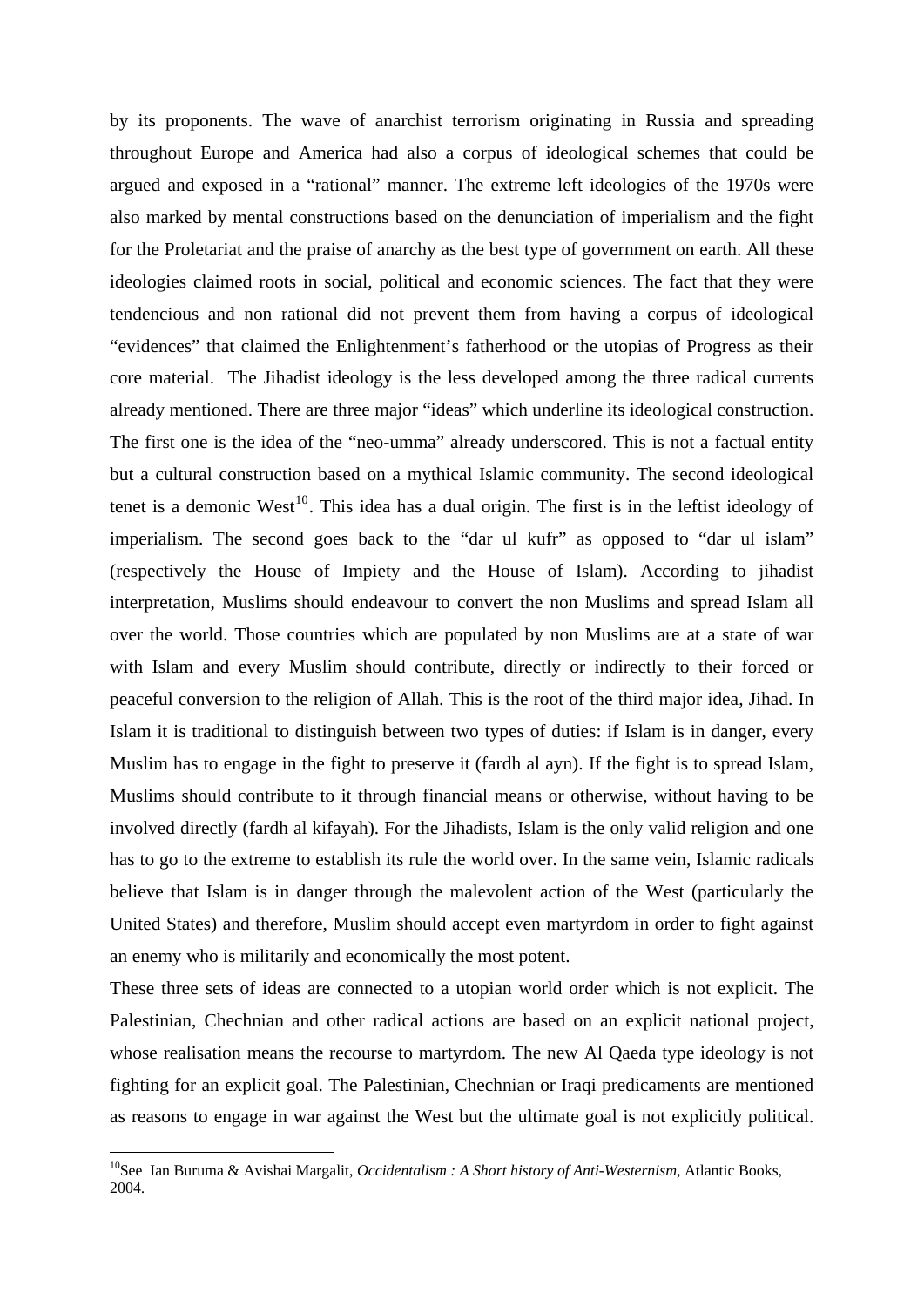by its proponents. The wave of anarchist terrorism originating in Russia and spreading throughout Europe and America had also a corpus of ideological schemes that could be argued and exposed in a "rational" manner. The extreme left ideologies of the 1970s were also marked by mental constructions based on the denunciation of imperialism and the fight for the Proletariat and the praise of anarchy as the best type of government on earth. All these ideologies claimed roots in social, political and economic sciences. The fact that they were tendencious and non rational did not prevent them from having a corpus of ideological "evidences" that claimed the Enlightenment's fatherhood or the utopias of Progress as their core material. The Jihadist ideology is the less developed among the three radical currents already mentioned. There are three major "ideas" which underline its ideological construction. The first one is the idea of the "neo-umma" already underscored. This is not a factual entity but a cultural construction based on a mythical Islamic community. The second ideological tenet is a demonic West<sup>[10](#page-8-0)</sup>. This idea has a dual origin. The first is in the leftist ideology of imperialism. The second goes back to the "dar ul kufr" as opposed to "dar ul islam" (respectively the House of Impiety and the House of Islam). According to jihadist interpretation, Muslims should endeavour to convert the non Muslims and spread Islam all over the world. Those countries which are populated by non Muslims are at a state of war with Islam and every Muslim should contribute, directly or indirectly to their forced or peaceful conversion to the religion of Allah. This is the root of the third major idea, Jihad. In Islam it is traditional to distinguish between two types of duties: if Islam is in danger, every Muslim has to engage in the fight to preserve it (fardh al ayn). If the fight is to spread Islam, Muslims should contribute to it through financial means or otherwise, without having to be involved directly (fardh al kifayah). For the Jihadists, Islam is the only valid religion and one has to go to the extreme to establish its rule the world over. In the same vein, Islamic radicals believe that Islam is in danger through the malevolent action of the West (particularly the United States) and therefore, Muslim should accept even martyrdom in order to fight against an enemy who is militarily and economically the most potent.

These three sets of ideas are connected to a utopian world order which is not explicit. The Palestinian, Chechnian and other radical actions are based on an explicit national project, whose realisation means the recourse to martyrdom. The new Al Qaeda type ideology is not fighting for an explicit goal. The Palestinian, Chechnian or Iraqi predicaments are mentioned as reasons to engage in war against the West but the ultimate goal is not explicitly political.

<span id="page-8-0"></span><sup>10</sup>See Ian Buruma & Avishai Margalit, *Occidentalism : A Short history of Anti-Westernism*, Atlantic Books, 2004.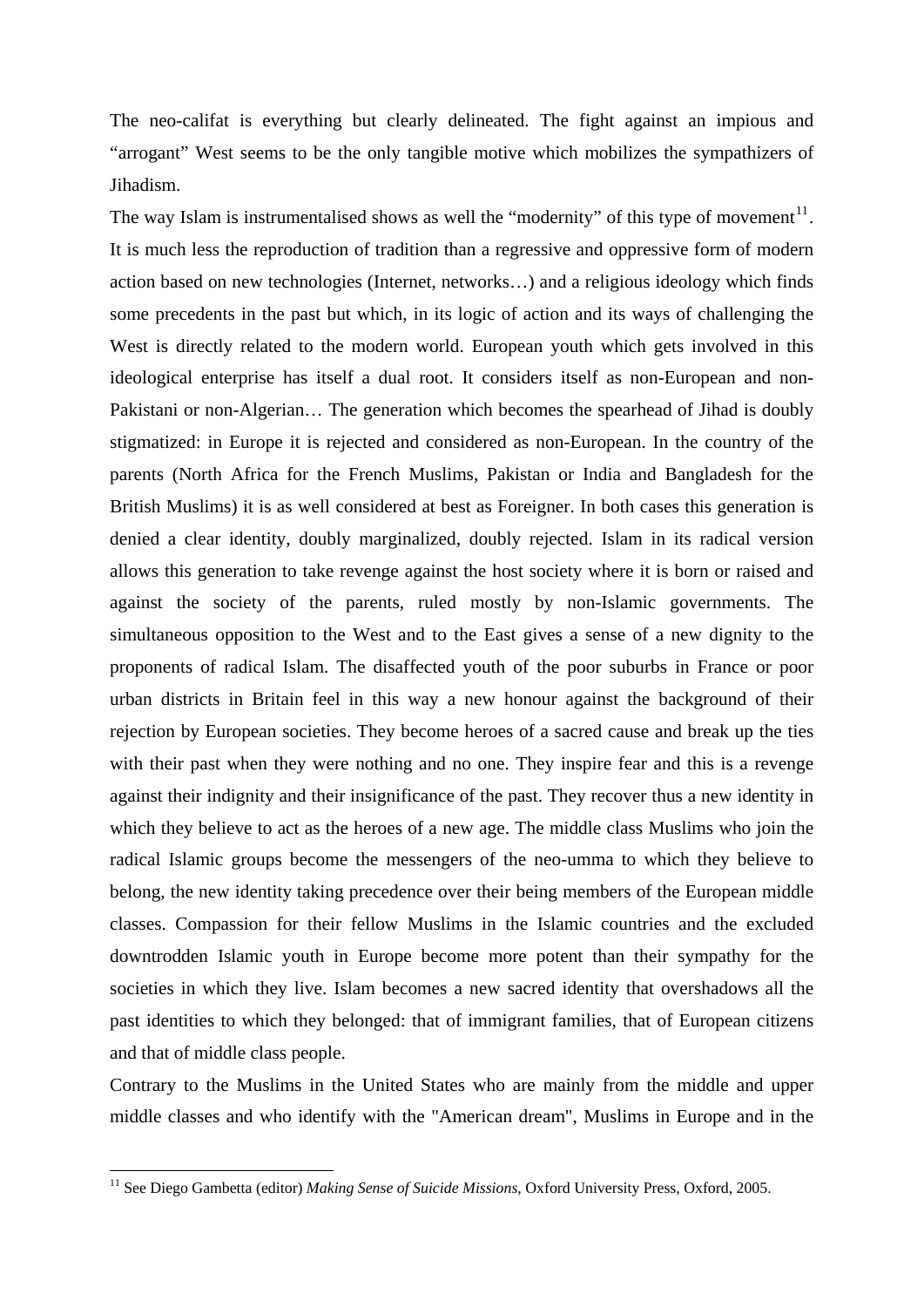The neo-califat is everything but clearly delineated. The fight against an impious and "arrogant" West seems to be the only tangible motive which mobilizes the sympathizers of Jihadism.

The way Islam is instrumentalised shows as well the "modernity" of this type of movement $11$ . It is much less the reproduction of tradition than a regressive and oppressive form of modern action based on new technologies (Internet, networks…) and a religious ideology which finds some precedents in the past but which, in its logic of action and its ways of challenging the West is directly related to the modern world. European youth which gets involved in this ideological enterprise has itself a dual root. It considers itself as non-European and non-Pakistani or non-Algerian… The generation which becomes the spearhead of Jihad is doubly stigmatized: in Europe it is rejected and considered as non-European. In the country of the parents (North Africa for the French Muslims, Pakistan or India and Bangladesh for the British Muslims) it is as well considered at best as Foreigner. In both cases this generation is denied a clear identity, doubly marginalized, doubly rejected. Islam in its radical version allows this generation to take revenge against the host society where it is born or raised and against the society of the parents, ruled mostly by non-Islamic governments. The simultaneous opposition to the West and to the East gives a sense of a new dignity to the proponents of radical Islam. The disaffected youth of the poor suburbs in France or poor urban districts in Britain feel in this way a new honour against the background of their rejection by European societies. They become heroes of a sacred cause and break up the ties with their past when they were nothing and no one. They inspire fear and this is a revenge against their indignity and their insignificance of the past. They recover thus a new identity in which they believe to act as the heroes of a new age. The middle class Muslims who join the radical Islamic groups become the messengers of the neo-umma to which they believe to belong, the new identity taking precedence over their being members of the European middle classes. Compassion for their fellow Muslims in the Islamic countries and the excluded downtrodden Islamic youth in Europe become more potent than their sympathy for the societies in which they live. Islam becomes a new sacred identity that overshadows all the past identities to which they belonged: that of immigrant families, that of European citizens and that of middle class people.

Contrary to the Muslims in the United States who are mainly from the middle and upper middle classes and who identify with the "American dream", Muslims in Europe and in the

<span id="page-9-0"></span><sup>11</sup> See Diego Gambetta (editor) *Making Sense of Suicide Missions*, Oxford University Press, Oxford, 2005.